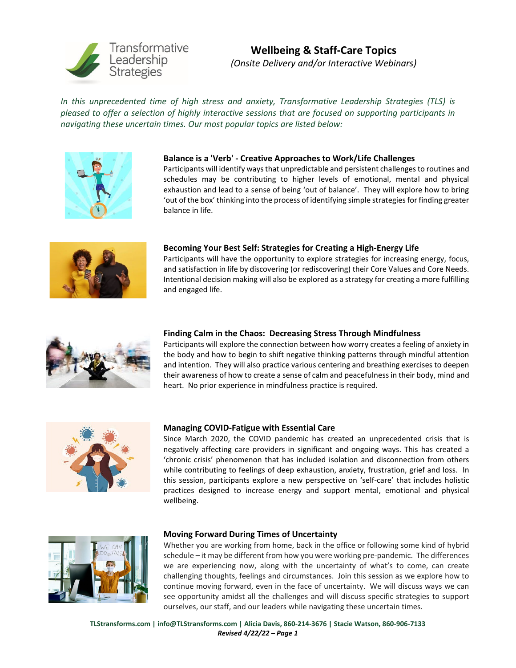

# **Wellbeing & Staff-Care Topics** *(Onsite Delivery and/or Interactive Webinars)*

*In this unprecedented time of high stress and anxiety, Transformative Leadership Strategies (TLS) is pleased to offer a selection of highly interactive sessions that are focused on supporting participants in navigating these uncertain times. Our most popular topics are listed below:*



## **Balance is a 'Verb' - Creative Approaches to Work/Life Challenges**

Participants will identify ways that unpredictable and persistent challenges to routines and schedules may be contributing to higher levels of emotional, mental and physical exhaustion and lead to a sense of being 'out of balance'. They will explore how to bring 'out of the box' thinking into the process of identifying simple strategies for finding greater balance in life.



## **Becoming Your Best Self: Strategies for Creating a High-Energy Life**

Participants will have the opportunity to explore strategies for increasing energy, focus, and satisfaction in life by discovering (or rediscovering) their Core Values and Core Needs. Intentional decision making will also be explored as a strategy for creating a more fulfilling and engaged life.



## **Finding Calm in the Chaos: Decreasing Stress Through Mindfulness**

Participants will explore the connection between how worry creates a feeling of anxiety in the body and how to begin to shift negative thinking patterns through mindful attention and intention. They will also practice various centering and breathing exercises to deepen their awareness of how to create a sense of calm and peacefulness in their body, mind and heart. No prior experience in mindfulness practice is required.



#### **Managing COVID-Fatigue with Essential Care**

Since March 2020, the COVID pandemic has created an unprecedented crisis that is negatively affecting care providers in significant and ongoing ways. This has created a 'chronic crisis' phenomenon that has included isolation and disconnection from others while contributing to feelings of deep exhaustion, anxiety, frustration, grief and loss. In this session, participants explore a new perspective on 'self-care' that includes holistic practices designed to increase energy and support mental, emotional and physical wellbeing.



#### **Moving Forward During Times of Uncertainty**

Whether you are working from home, back in the office or following some kind of hybrid schedule – it may be different from how you were working pre-pandemic. The differences we are experiencing now, along with the uncertainty of what's to come, can create challenging thoughts, feelings and circumstances. Join this session as we explore how to continue moving forward, even in the face of uncertainty. We will discuss ways we can see opportunity amidst all the challenges and will discuss specific strategies to support ourselves, our staff, and our leaders while navigating these uncertain times.

**TLStransforms.com | [info@TLStransforms.com |](mailto:info@tls-llc.com) Alicia Davis, 860-214-3676 | Stacie Watson, 860-906-7133**  *Revised 4/22/22 – Page 1*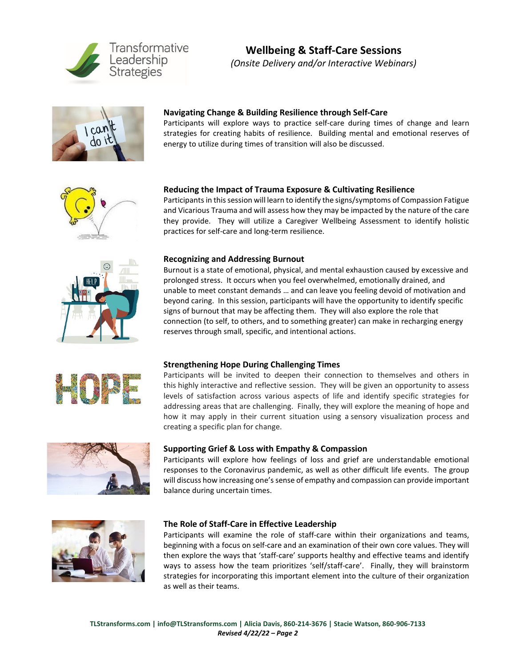

# **Wellbeing & Staff-Care Sessions** *(Onsite Delivery and/or Interactive Webinars)*



## **Navigating Change & Building Resilience through Self-Care**

Participants will explore ways to practice self-care during times of change and learn strategies for creating habits of resilience. Building mental and emotional reserves of energy to utilize during times of transition will also be discussed.



## **Reducing the Impact of Trauma Exposure & Cultivating Resilience**

Participants in this session will learn to identify the signs/symptoms of Compassion Fatigue and Vicarious Trauma and will assess how they may be impacted by the nature of the care they provide. They will utilize a Caregiver Wellbeing Assessment to identify holistic practices for self-care and long-term resilience.



#### **Recognizing and Addressing Burnout**

Burnout is a state of emotional, physical, and mental exhaustion caused by excessive and prolonged stress. It occurs when you feel overwhelmed, emotionally drained, and unable to meet constant demands … and can leave you feeling devoid of motivation and beyond caring. In this session, participants will have the opportunity to identify specific signs of burnout that may be affecting them. They will also explore the role that connection (to self, to others, and to something greater) can make in recharging energy reserves through small, specific, and intentional actions.



#### **Strengthening Hope During Challenging Times**

Participants will be invited to deepen their connection to themselves and others in this highly interactive and reflective session. They will be given an opportunity to assess levels of satisfaction across various aspects of life and identify specific strategies for addressing areas that are challenging. Finally, they will explore the meaning of hope and how it may apply in their current situation using a sensory visualization process and creating a specific plan for change.



## **Supporting Grief & Loss with Empathy & Compassion**

Participants will explore how feelings of loss and grief are understandable emotional responses to the Coronavirus pandemic, as well as other difficult life events. The group will discuss how increasing one's sense of empathy and compassion can provide important balance during uncertain times.



#### **The Role of Staff-Care in Effective Leadership**

Participants will examine the role of staff-care within their organizations and teams, beginning with a focus on self-care and an examination of their own core values. They will then explore the ways that 'staff-care' supports healthy and effective teams and identify ways to assess how the team prioritizes 'self/staff-care'. Finally, they will brainstorm strategies for incorporating this important element into the culture of their organization as well as their teams.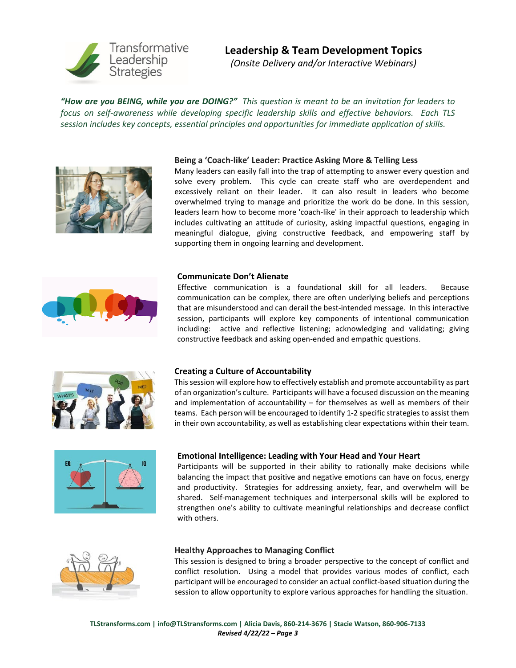

# **Leadership & Team Development Topics**

*(Onsite Delivery and/or Interactive Webinars)* 

*"How are you BEING, while you are DOING?" This question is meant to be an invitation for leaders to focus on self-awareness while developing specific leadership skills and effective behaviors. Each TLS session includes key concepts, essential principles and opportunities for immediate application of skills.* 



## **Being a 'Coach-like' Leader: Practice Asking More & Telling Less**

Many leaders can easily fall into the trap of attempting to answer every question and solve every problem. This cycle can create staff who are overdependent and excessively reliant on their leader. It can also result in leaders who become overwhelmed trying to manage and prioritize the work do be done. In this session, leaders learn how to become more 'coach-like' in their approach to leadership which includes cultivating an attitude of curiosity, asking impactful questions, engaging in meaningful dialogue, giving constructive feedback, and empowering staff by supporting them in ongoing learning and development.



#### **Communicate Don't Alienate**

Effective communication is a foundational skill for all leaders. Because communication can be complex, there are often underlying beliefs and perceptions that are misunderstood and can derail the best-intended message. In this interactive session, participants will explore key components of intentional communication including: active and reflective listening; acknowledging and validating; giving constructive feedback and asking open-ended and empathic questions.



#### **Creating a Culture of Accountability**

This session will explore how to effectively establish and promote accountability as part of an organization's culture. Participants will have a focused discussion on the meaning and implementation of accountability  $-$  for themselves as well as members of their teams. Each person will be encouraged to identify 1-2 specific strategies to assist them in their own accountability, as well as establishing clear expectations within their team.



## **Emotional Intelligence: Leading with Your Head and Your Heart**

Participants will be supported in their ability to rationally make decisions while balancing the impact that positive and negative emotions can have on focus, energy and productivity. Strategies for addressing anxiety, fear, and overwhelm will be shared. Self-management techniques and interpersonal skills will be explored to strengthen one's ability to cultivate meaningful relationships and decrease conflict with others.



#### **Healthy Approaches to Managing Conflict**

This session is designed to bring a broader perspective to the concept of conflict and conflict resolution. Using a model that provides various modes of conflict, each participant will be encouraged to consider an actual conflict-based situation during the session to allow opportunity to explore various approaches for handling the situation.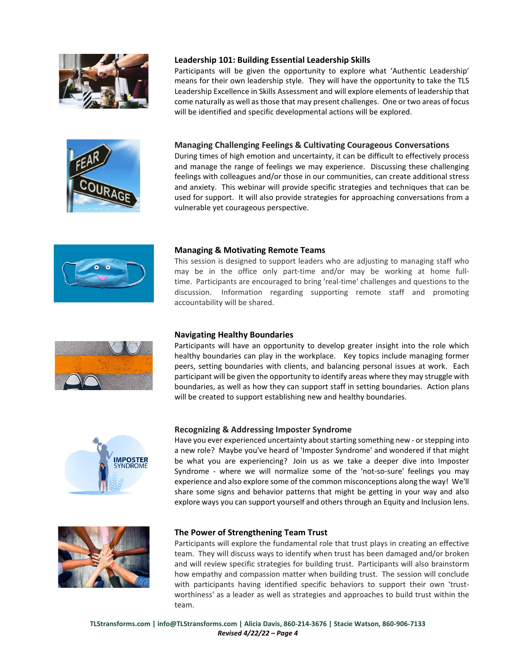



### **Leadership 101: Building Essential Leadership Skills**

Participants will be given the opportunity to explore what 'Authentic Leadership' means for their own leadership style. They will have the opportunity to take the TLS Leadership Excellence in Skills Assessment and will explore elements of leadership that come naturally as well as those that may present challenges. One or two areas of focus will be identified and specific developmental actions will be explored.

### **Managing Challenging Feelings & Cultivating Courageous Conversations**

During times of high emotion and uncertainty, it can be difficult to effectively process and manage the range of feelings we may experience. Discussing these challenging feelings with colleagues and/or those in our communities, can create additional stress and anxiety. This webinar will provide specific strategies and techniques that can be used for support. It will also provide strategies for approaching conversations from a vulnerable yet courageous perspective.



## **Managing & Motivating Remote Teams**

This session is designed to support leaders who are adjusting to managing staff who may be in the office only part-time and/or may be working at home fulltime. Participants are encouraged to bring 'real-time' challenges and questions to the discussion. Information regarding supporting remote staff and promoting accountability will be shared.



### **Navigating Healthy Boundaries**

Participants will have an opportunity to develop greater insight into the role which healthy boundaries can play in the workplace. Key topics include managing former peers, setting boundaries with clients, and balancing personal issues at work. Each participant will be given the opportunity to identify areas where they may struggle with boundaries, as well as how they can support staff in setting boundaries. Action plans will be created to support establishing new and healthy boundaries.



#### **Recognizing & Addressing Imposter Syndrome**

Have you ever experienced uncertainty about starting something new - or stepping into a new role? Maybe you've heard of 'Imposter Syndrome' and wondered if that might be what you are experiencing? Join us as we take a deeper dive into Imposter Syndrome - where we will normalize some of the 'not-so-sure' feelings you may experience and also explore some of the common misconceptions along the way! We'll share some signs and behavior patterns that might be getting in your way and also explore ways you can support yourself and others through an Equity and Inclusion lens.



#### **The Power of Strengthening Team Trust**

Participants will explore the fundamental role that trust plays in creating an effective team. They will discuss ways to identify when trust has been damaged and/or broken and will review specific strategies for building trust. Participants will also brainstorm how empathy and compassion matter when building trust. The session will conclude with participants having identified specific behaviors to support their own 'trustworthiness' as a leader as well as strategies and approaches to build trust within the team.